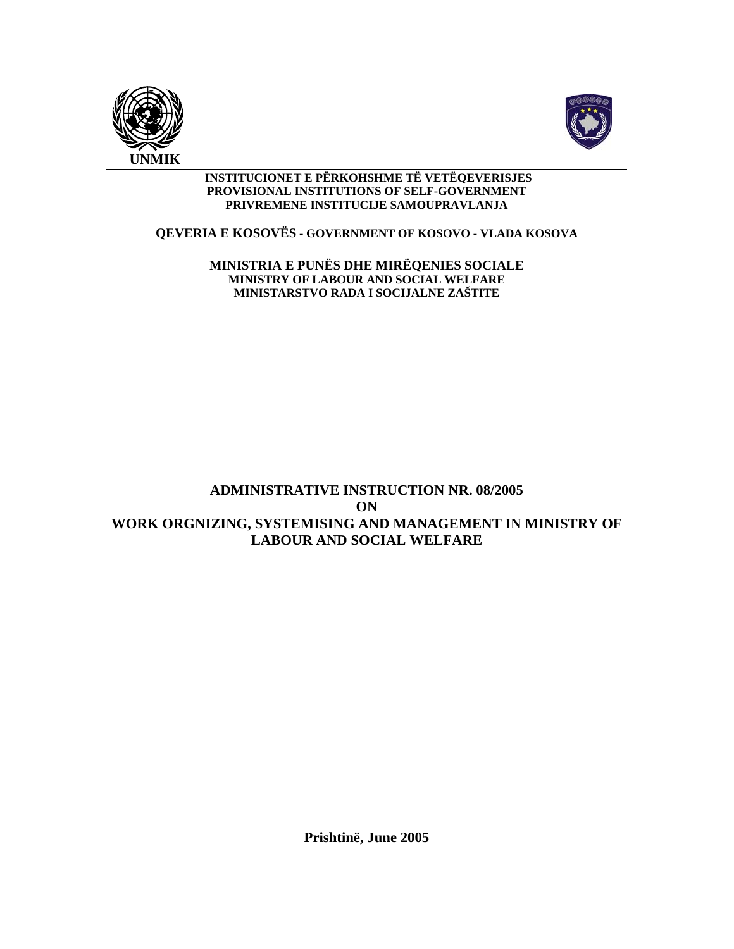



#### **INSTITUCIONET E PËRKOHSHME TË VETËQEVERISJES PROVISIONAL INSTITUTIONS OF SELF-GOVERNMENT PRIVREMENE INSTITUCIJE SAMOUPRAVLANJA**

#### **QEVERIA E KOSOVËS - GOVERNMENT OF KOSOVO - VLADA KOSOVA**

**MINISTRIA E PUNËS DHE MIRËQENIES SOCIALE MINISTRY OF LABOUR AND SOCIAL WELFARE MINISTARSTVO RADA I SOCIJALNE ZAŠTITE** 

# **ADMINISTRATIVE INSTRUCTION NR. 08/2005 ON WORK ORGNIZING, SYSTEMISING AND MANAGEMENT IN MINISTRY OF LABOUR AND SOCIAL WELFARE**

**Prishtinë, June 2005**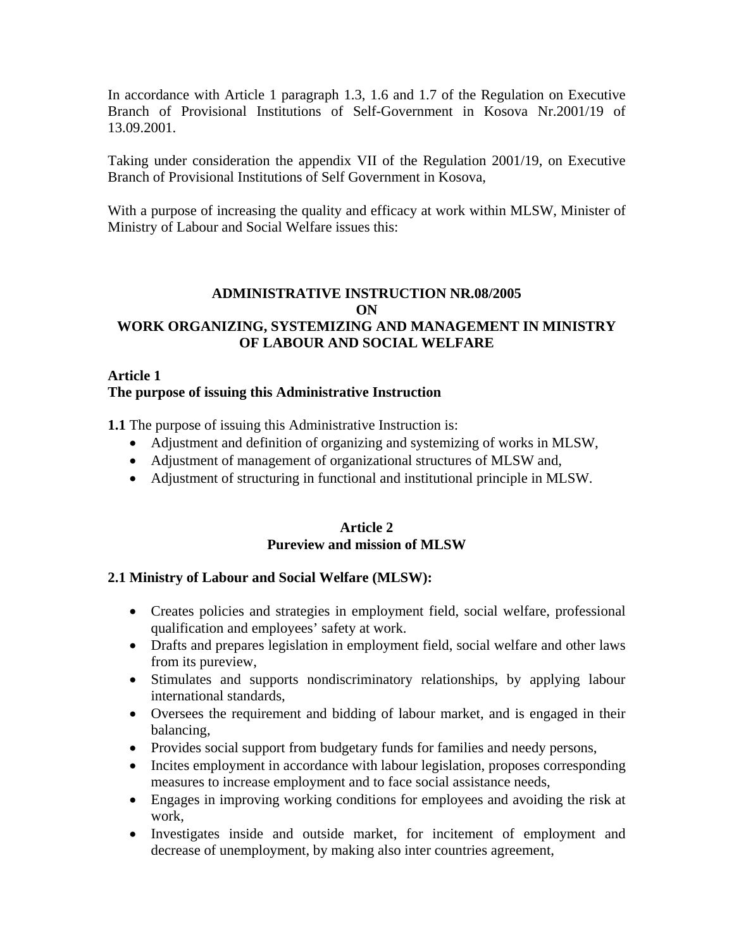In accordance with Article 1 paragraph 1.3, 1.6 and 1.7 of the Regulation on Executive Branch of Provisional Institutions of Self-Government in Kosova Nr.2001/19 of 13.09.2001.

Taking under consideration the appendix VII of the Regulation 2001/19, on Executive Branch of Provisional Institutions of Self Government in Kosova,

With a purpose of increasing the quality and efficacy at work within MLSW, Minister of Ministry of Labour and Social Welfare issues this:

## **ADMINISTRATIVE INSTRUCTION NR.08/2005 ON WORK ORGANIZING, SYSTEMIZING AND MANAGEMENT IN MINISTRY OF LABOUR AND SOCIAL WELFARE**

#### **Article 1 The purpose of issuing this Administrative Instruction**

**1.1** The purpose of issuing this Administrative Instruction is:

- Adjustment and definition of organizing and systemizing of works in MLSW,
- Adjustment of management of organizational structures of MLSW and,
- Adjustment of structuring in functional and institutional principle in MLSW.

#### **Article 2 Pureview and mission of MLSW**

## **2.1 Ministry of Labour and Social Welfare (MLSW):**

- Creates policies and strategies in employment field, social welfare, professional qualification and employees' safety at work.
- Drafts and prepares legislation in employment field, social welfare and other laws from its pureview,
- Stimulates and supports nondiscriminatory relationships, by applying labour international standards,
- Oversees the requirement and bidding of labour market, and is engaged in their balancing,
- Provides social support from budgetary funds for families and needy persons,
- Incites employment in accordance with labour legislation, proposes corresponding measures to increase employment and to face social assistance needs,
- Engages in improving working conditions for employees and avoiding the risk at work,
- Investigates inside and outside market, for incitement of employment and decrease of unemployment, by making also inter countries agreement,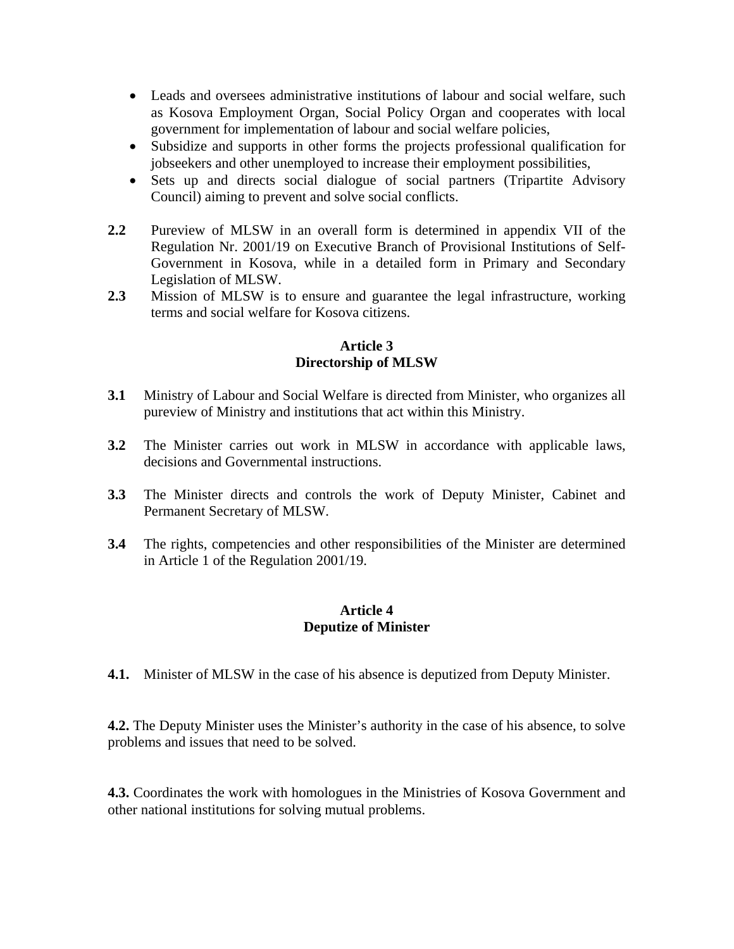- Leads and oversees administrative institutions of labour and social welfare, such as Kosova Employment Organ, Social Policy Organ and cooperates with local government for implementation of labour and social welfare policies,
- Subsidize and supports in other forms the projects professional qualification for jobseekers and other unemployed to increase their employment possibilities,
- Sets up and directs social dialogue of social partners (Tripartite Advisory Council) aiming to prevent and solve social conflicts.
- **2.2** Pureview of MLSW in an overall form is determined in appendix VII of the Regulation Nr. 2001/19 on Executive Branch of Provisional Institutions of Self-Government in Kosova, while in a detailed form in Primary and Secondary Legislation of MLSW.
- **2.3** Mission of MLSW is to ensure and guarantee the legal infrastructure, working terms and social welfare for Kosova citizens.

#### **Article 3 Directorship of MLSW**

- **3.1** Ministry of Labour and Social Welfare is directed from Minister, who organizes all pureview of Ministry and institutions that act within this Ministry.
- **3.2** The Minister carries out work in MLSW in accordance with applicable laws, decisions and Governmental instructions.
- **3.3** The Minister directs and controls the work of Deputy Minister, Cabinet and Permanent Secretary of MLSW.
- **3.4** The rights, competencies and other responsibilities of the Minister are determined in Article 1 of the Regulation 2001/19.

#### **Article 4 Deputize of Minister**

**4.1.** Minister of MLSW in the case of his absence is deputized from Deputy Minister.

**4.2.** The Deputy Minister uses the Minister's authority in the case of his absence, to solve problems and issues that need to be solved.

**4.3.** Coordinates the work with homologues in the Ministries of Kosova Government and other national institutions for solving mutual problems.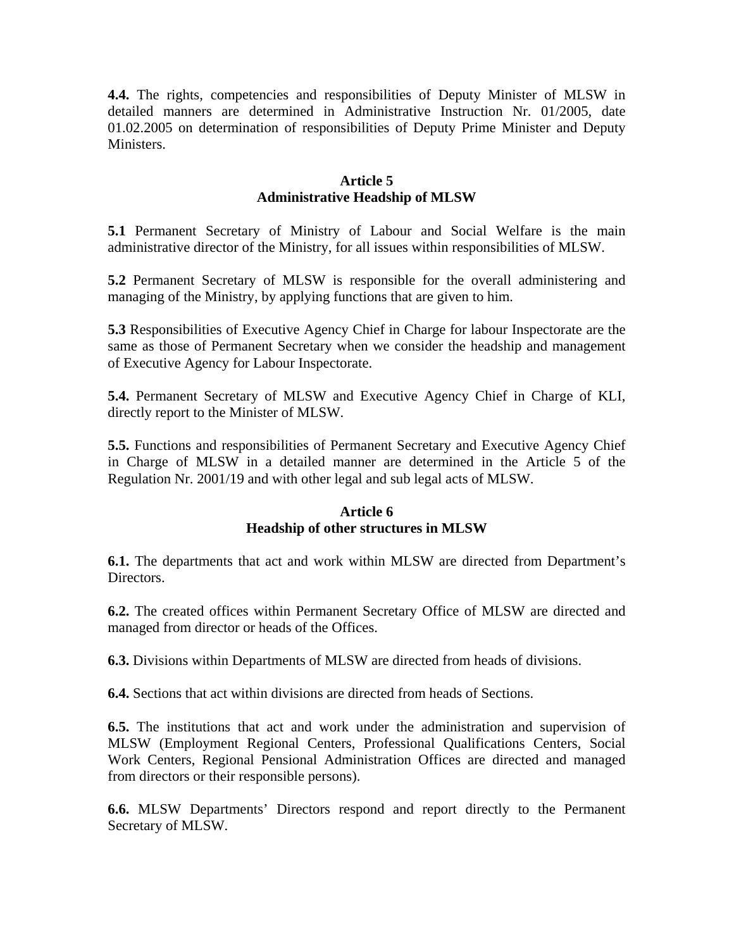**4.4.** The rights, competencies and responsibilities of Deputy Minister of MLSW in detailed manners are determined in Administrative Instruction Nr. 01/2005, date 01.02.2005 on determination of responsibilities of Deputy Prime Minister and Deputy Ministers.

#### **Article 5 Administrative Headship of MLSW**

**5.1** Permanent Secretary of Ministry of Labour and Social Welfare is the main administrative director of the Ministry, for all issues within responsibilities of MLSW.

**5.2** Permanent Secretary of MLSW is responsible for the overall administering and managing of the Ministry, by applying functions that are given to him.

**5.3** Responsibilities of Executive Agency Chief in Charge for labour Inspectorate are the same as those of Permanent Secretary when we consider the headship and management of Executive Agency for Labour Inspectorate.

**5.4.** Permanent Secretary of MLSW and Executive Agency Chief in Charge of KLI, directly report to the Minister of MLSW.

**5.5.** Functions and responsibilities of Permanent Secretary and Executive Agency Chief in Charge of MLSW in a detailed manner are determined in the Article 5 of the Regulation Nr. 2001/19 and with other legal and sub legal acts of MLSW.

#### **Article 6 Headship of other structures in MLSW**

**6.1.** The departments that act and work within MLSW are directed from Department's Directors.

**6.2.** The created offices within Permanent Secretary Office of MLSW are directed and managed from director or heads of the Offices.

**6.3.** Divisions within Departments of MLSW are directed from heads of divisions.

**6.4.** Sections that act within divisions are directed from heads of Sections.

**6.5.** The institutions that act and work under the administration and supervision of MLSW (Employment Regional Centers, Professional Qualifications Centers, Social Work Centers, Regional Pensional Administration Offices are directed and managed from directors or their responsible persons).

**6.6.** MLSW Departments' Directors respond and report directly to the Permanent Secretary of MLSW.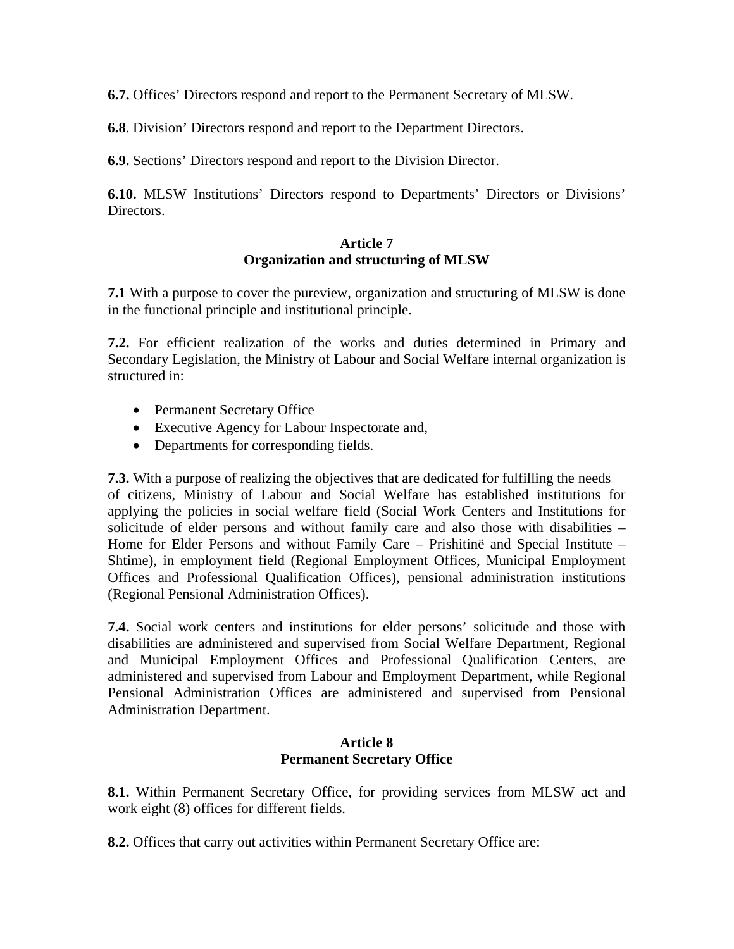**6.7.** Offices' Directors respond and report to the Permanent Secretary of MLSW.

**6.8**. Division' Directors respond and report to the Department Directors.

**6.9.** Sections' Directors respond and report to the Division Director.

**6.10.** MLSW Institutions' Directors respond to Departments' Directors or Divisions' Directors.

#### **Article 7 Organization and structuring of MLSW**

**7.1** With a purpose to cover the pureview, organization and structuring of MLSW is done in the functional principle and institutional principle.

**7.2.** For efficient realization of the works and duties determined in Primary and Secondary Legislation, the Ministry of Labour and Social Welfare internal organization is structured in:

- Permanent Secretary Office
- Executive Agency for Labour Inspectorate and,
- Departments for corresponding fields.

**7.3.** With a purpose of realizing the objectives that are dedicated for fulfilling the needs of citizens, Ministry of Labour and Social Welfare has established institutions for applying the policies in social welfare field (Social Work Centers and Institutions for solicitude of elder persons and without family care and also those with disabilities – Home for Elder Persons and without Family Care – Prishitinë and Special Institute – Shtime), in employment field (Regional Employment Offices, Municipal Employment Offices and Professional Qualification Offices), pensional administration institutions (Regional Pensional Administration Offices).

**7.4.** Social work centers and institutions for elder persons' solicitude and those with disabilities are administered and supervised from Social Welfare Department, Regional and Municipal Employment Offices and Professional Qualification Centers, are administered and supervised from Labour and Employment Department, while Regional Pensional Administration Offices are administered and supervised from Pensional Administration Department.

#### **Article 8 Permanent Secretary Office**

**8.1.** Within Permanent Secretary Office, for providing services from MLSW act and work eight (8) offices for different fields.

**8.2.** Offices that carry out activities within Permanent Secretary Office are: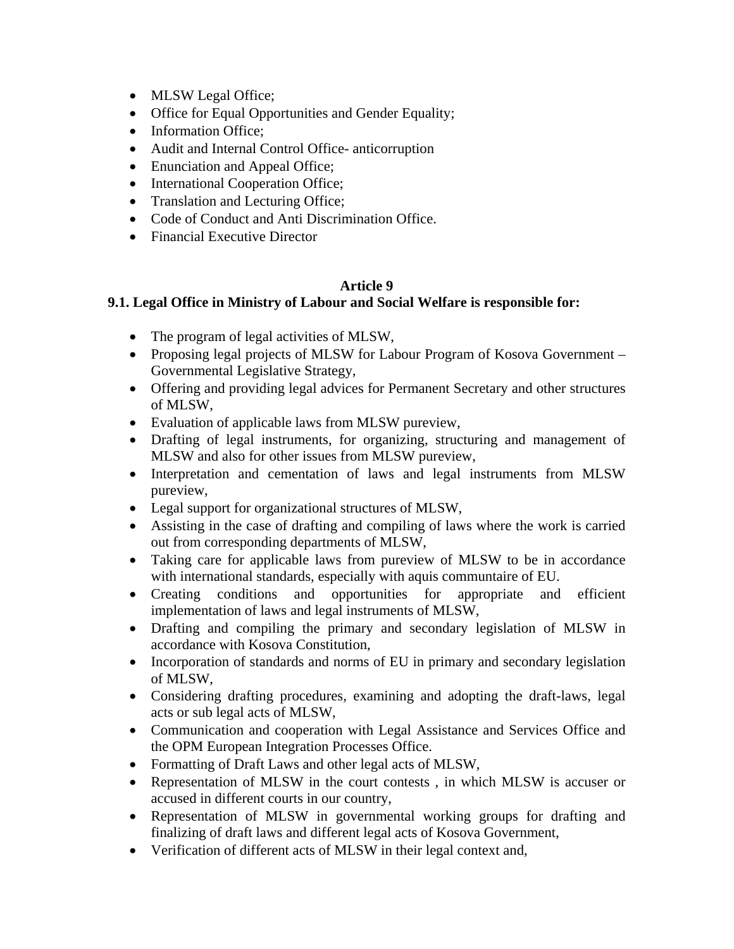- MLSW Legal Office;
- Office for Equal Opportunities and Gender Equality;
- Information Office;
- Audit and Internal Control Office- anticorruption
- Enunciation and Appeal Office;
- International Cooperation Office;
- Translation and Lecturing Office;
- Code of Conduct and Anti Discrimination Office.
- Financial Executive Director

## **Article 9**

## **9.1. Legal Office in Ministry of Labour and Social Welfare is responsible for:**

- The program of legal activities of MLSW,
- Proposing legal projects of MLSW for Labour Program of Kosova Government Governmental Legislative Strategy,
- Offering and providing legal advices for Permanent Secretary and other structures of MLSW,
- Evaluation of applicable laws from MLSW pureview,
- Drafting of legal instruments, for organizing, structuring and management of MLSW and also for other issues from MLSW pureview,
- Interpretation and cementation of laws and legal instruments from MLSW pureview,
- Legal support for organizational structures of MLSW,
- Assisting in the case of drafting and compiling of laws where the work is carried out from corresponding departments of MLSW,
- Taking care for applicable laws from pureview of MLSW to be in accordance with international standards, especially with aquis communtaire of EU.
- Creating conditions and opportunities for appropriate and efficient implementation of laws and legal instruments of MLSW,
- Drafting and compiling the primary and secondary legislation of MLSW in accordance with Kosova Constitution,
- Incorporation of standards and norms of EU in primary and secondary legislation of MLSW,
- Considering drafting procedures, examining and adopting the draft-laws, legal acts or sub legal acts of MLSW,
- Communication and cooperation with Legal Assistance and Services Office and the OPM European Integration Processes Office.
- Formatting of Draft Laws and other legal acts of MLSW,
- Representation of MLSW in the court contests , in which MLSW is accuser or accused in different courts in our country,
- Representation of MLSW in governmental working groups for drafting and finalizing of draft laws and different legal acts of Kosova Government,
- Verification of different acts of MLSW in their legal context and,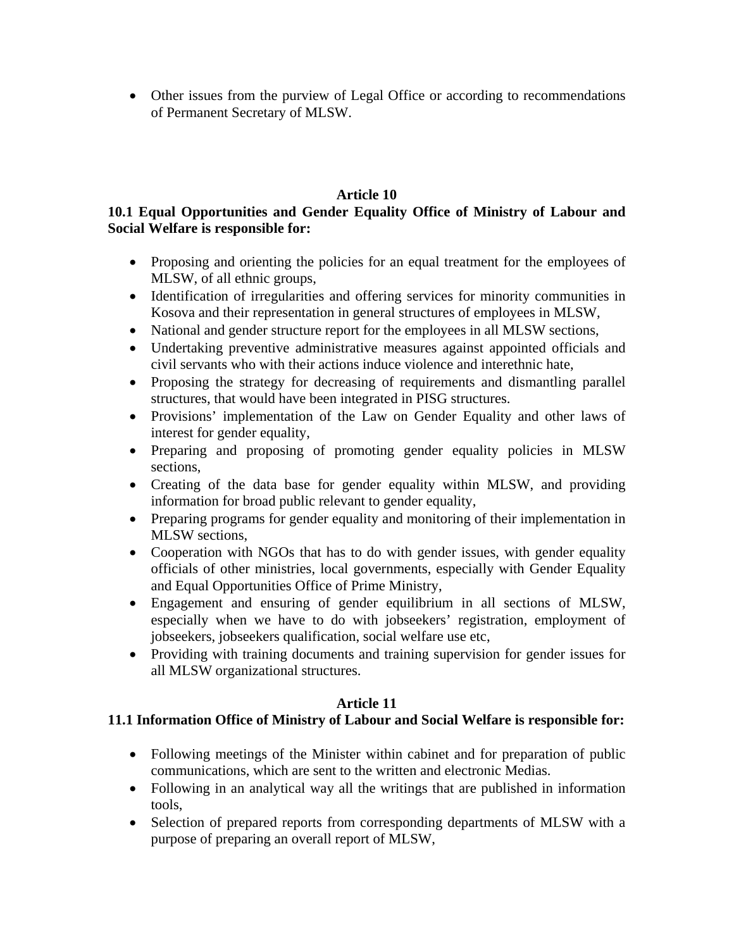• Other issues from the purview of Legal Office or according to recommendations of Permanent Secretary of MLSW.

## **Article 10**

## **10.1 Equal Opportunities and Gender Equality Office of Ministry of Labour and Social Welfare is responsible for:**

- Proposing and orienting the policies for an equal treatment for the employees of MLSW, of all ethnic groups,
- Identification of irregularities and offering services for minority communities in Kosova and their representation in general structures of employees in MLSW,
- National and gender structure report for the employees in all MLSW sections,
- Undertaking preventive administrative measures against appointed officials and civil servants who with their actions induce violence and interethnic hate,
- Proposing the strategy for decreasing of requirements and dismantling parallel structures, that would have been integrated in PISG structures.
- Provisions' implementation of the Law on Gender Equality and other laws of interest for gender equality,
- Preparing and proposing of promoting gender equality policies in MLSW sections,
- Creating of the data base for gender equality within MLSW, and providing information for broad public relevant to gender equality,
- Preparing programs for gender equality and monitoring of their implementation in MLSW sections,
- Cooperation with NGOs that has to do with gender issues, with gender equality officials of other ministries, local governments, especially with Gender Equality and Equal Opportunities Office of Prime Ministry,
- Engagement and ensuring of gender equilibrium in all sections of MLSW, especially when we have to do with jobseekers' registration, employment of jobseekers, jobseekers qualification, social welfare use etc,
- Providing with training documents and training supervision for gender issues for all MLSW organizational structures.

## **Article 11**

## **11.1 Information Office of Ministry of Labour and Social Welfare is responsible for:**

- Following meetings of the Minister within cabinet and for preparation of public communications, which are sent to the written and electronic Medias.
- Following in an analytical way all the writings that are published in information tools,
- Selection of prepared reports from corresponding departments of MLSW with a purpose of preparing an overall report of MLSW,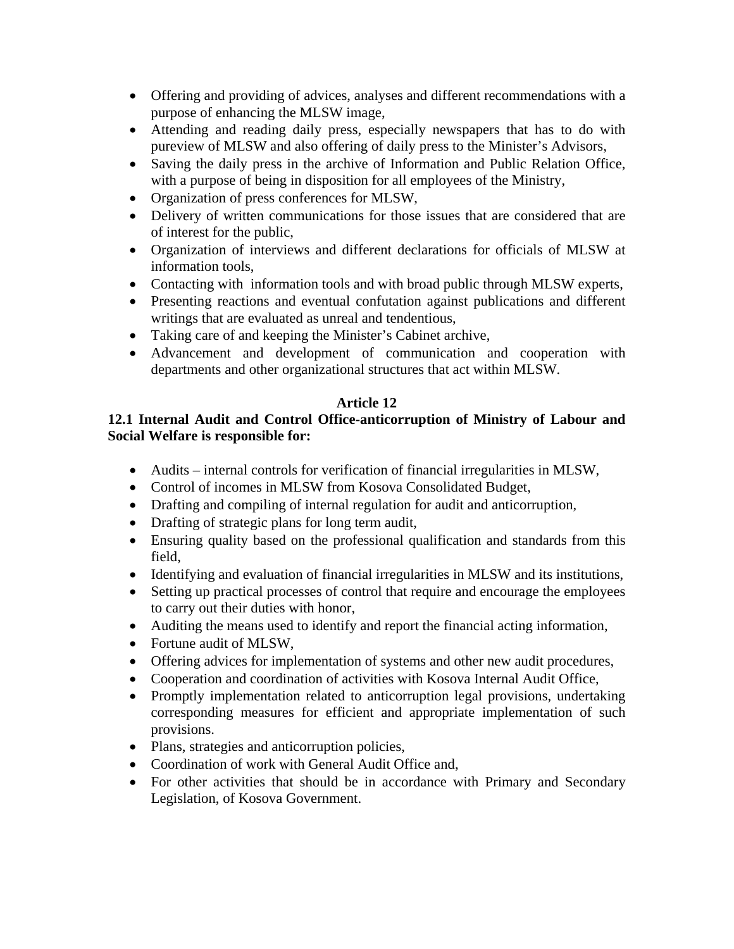- Offering and providing of advices, analyses and different recommendations with a purpose of enhancing the MLSW image,
- Attending and reading daily press, especially newspapers that has to do with pureview of MLSW and also offering of daily press to the Minister's Advisors,
- Saving the daily press in the archive of Information and Public Relation Office, with a purpose of being in disposition for all employees of the Ministry,
- Organization of press conferences for MLSW,
- Delivery of written communications for those issues that are considered that are of interest for the public,
- Organization of interviews and different declarations for officials of MLSW at information tools,
- Contacting with information tools and with broad public through MLSW experts,
- Presenting reactions and eventual confutation against publications and different writings that are evaluated as unreal and tendentious,
- Taking care of and keeping the Minister's Cabinet archive,
- Advancement and development of communication and cooperation with departments and other organizational structures that act within MLSW.

# **Article 12**

## **12.1 Internal Audit and Control Office-anticorruption of Ministry of Labour and Social Welfare is responsible for:**

- Audits internal controls for verification of financial irregularities in MLSW,
- Control of incomes in MLSW from Kosova Consolidated Budget,
- Drafting and compiling of internal regulation for audit and anticorruption,
- Drafting of strategic plans for long term audit,
- Ensuring quality based on the professional qualification and standards from this field,
- Identifying and evaluation of financial irregularities in MLSW and its institutions,
- Setting up practical processes of control that require and encourage the employees to carry out their duties with honor,
- Auditing the means used to identify and report the financial acting information,
- Fortune audit of MLSW,
- Offering advices for implementation of systems and other new audit procedures,
- Cooperation and coordination of activities with Kosova Internal Audit Office,
- Promptly implementation related to anticorruption legal provisions, undertaking corresponding measures for efficient and appropriate implementation of such provisions.
- Plans, strategies and anticorruption policies,
- Coordination of work with General Audit Office and,
- For other activities that should be in accordance with Primary and Secondary Legislation, of Kosova Government.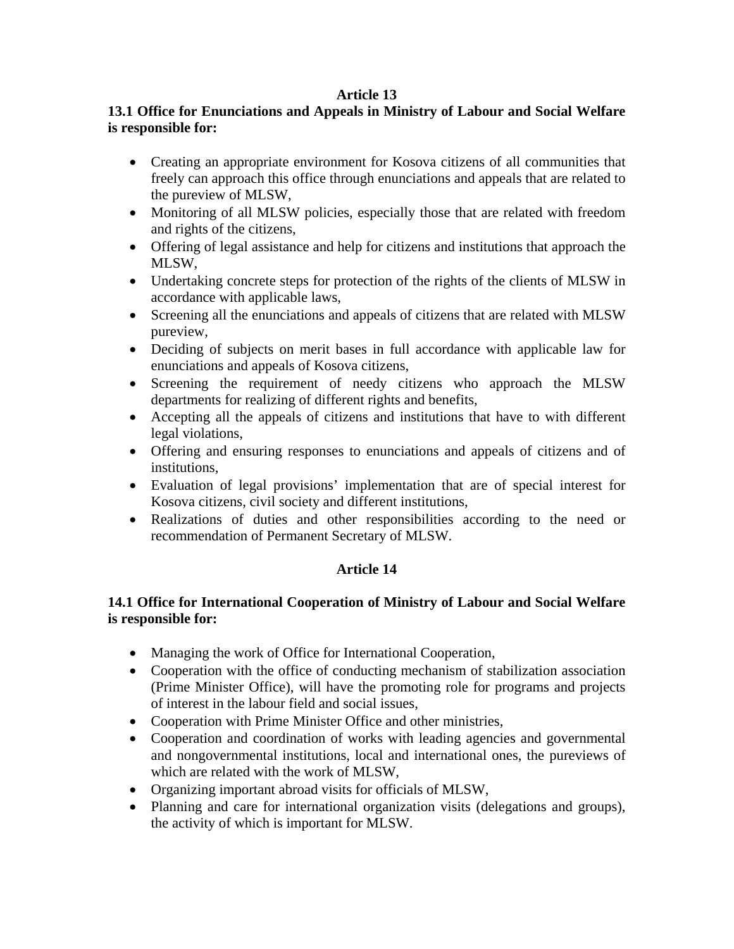#### **Article 13**

## **13.1 Office for Enunciations and Appeals in Ministry of Labour and Social Welfare is responsible for:**

- Creating an appropriate environment for Kosova citizens of all communities that freely can approach this office through enunciations and appeals that are related to the pureview of MLSW,
- Monitoring of all MLSW policies, especially those that are related with freedom and rights of the citizens,
- Offering of legal assistance and help for citizens and institutions that approach the MLSW,
- Undertaking concrete steps for protection of the rights of the clients of MLSW in accordance with applicable laws,
- Screening all the enunciations and appeals of citizens that are related with MLSW pureview,
- Deciding of subjects on merit bases in full accordance with applicable law for enunciations and appeals of Kosova citizens,
- Screening the requirement of needy citizens who approach the MLSW departments for realizing of different rights and benefits,
- Accepting all the appeals of citizens and institutions that have to with different legal violations,
- Offering and ensuring responses to enunciations and appeals of citizens and of institutions,
- Evaluation of legal provisions' implementation that are of special interest for Kosova citizens, civil society and different institutions,
- Realizations of duties and other responsibilities according to the need or recommendation of Permanent Secretary of MLSW.

## **Article 14**

## **14.1 Office for International Cooperation of Ministry of Labour and Social Welfare is responsible for:**

- Managing the work of Office for International Cooperation,
- Cooperation with the office of conducting mechanism of stabilization association (Prime Minister Office), will have the promoting role for programs and projects of interest in the labour field and social issues,
- Cooperation with Prime Minister Office and other ministries,
- Cooperation and coordination of works with leading agencies and governmental and nongovernmental institutions, local and international ones, the pureviews of which are related with the work of MLSW,
- Organizing important abroad visits for officials of MLSW,
- Planning and care for international organization visits (delegations and groups), the activity of which is important for MLSW.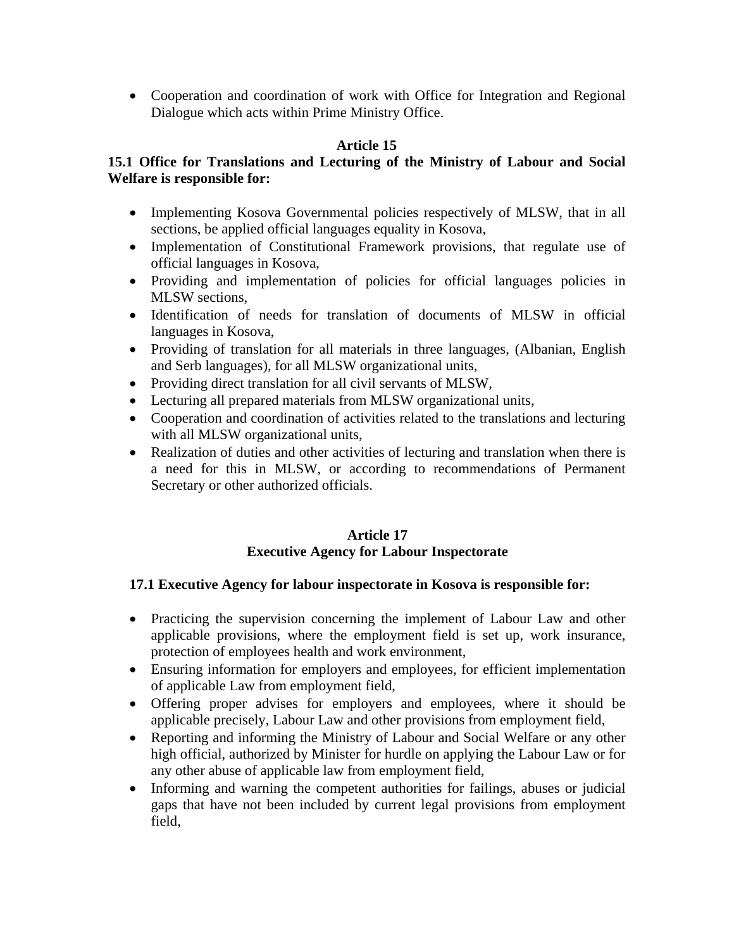• Cooperation and coordination of work with Office for Integration and Regional Dialogue which acts within Prime Ministry Office.

## **Article 15**

## **15.1 Office for Translations and Lecturing of the Ministry of Labour and Social Welfare is responsible for:**

- Implementing Kosova Governmental policies respectively of MLSW, that in all sections, be applied official languages equality in Kosova,
- Implementation of Constitutional Framework provisions, that regulate use of official languages in Kosova,
- Providing and implementation of policies for official languages policies in MLSW sections,
- Identification of needs for translation of documents of MLSW in official languages in Kosova,
- Providing of translation for all materials in three languages, (Albanian, English and Serb languages), for all MLSW organizational units,
- Providing direct translation for all civil servants of MLSW,
- Lecturing all prepared materials from MLSW organizational units,
- Cooperation and coordination of activities related to the translations and lecturing with all MLSW organizational units,
- Realization of duties and other activities of lecturing and translation when there is a need for this in MLSW, or according to recommendations of Permanent Secretary or other authorized officials.

## **Article 17 Executive Agency for Labour Inspectorate**

## **17.1 Executive Agency for labour inspectorate in Kosova is responsible for:**

- Practicing the supervision concerning the implement of Labour Law and other applicable provisions, where the employment field is set up, work insurance, protection of employees health and work environment,
- Ensuring information for employers and employees, for efficient implementation of applicable Law from employment field,
- Offering proper advises for employers and employees, where it should be applicable precisely, Labour Law and other provisions from employment field,
- Reporting and informing the Ministry of Labour and Social Welfare or any other high official, authorized by Minister for hurdle on applying the Labour Law or for any other abuse of applicable law from employment field,
- Informing and warning the competent authorities for failings, abuses or judicial gaps that have not been included by current legal provisions from employment field,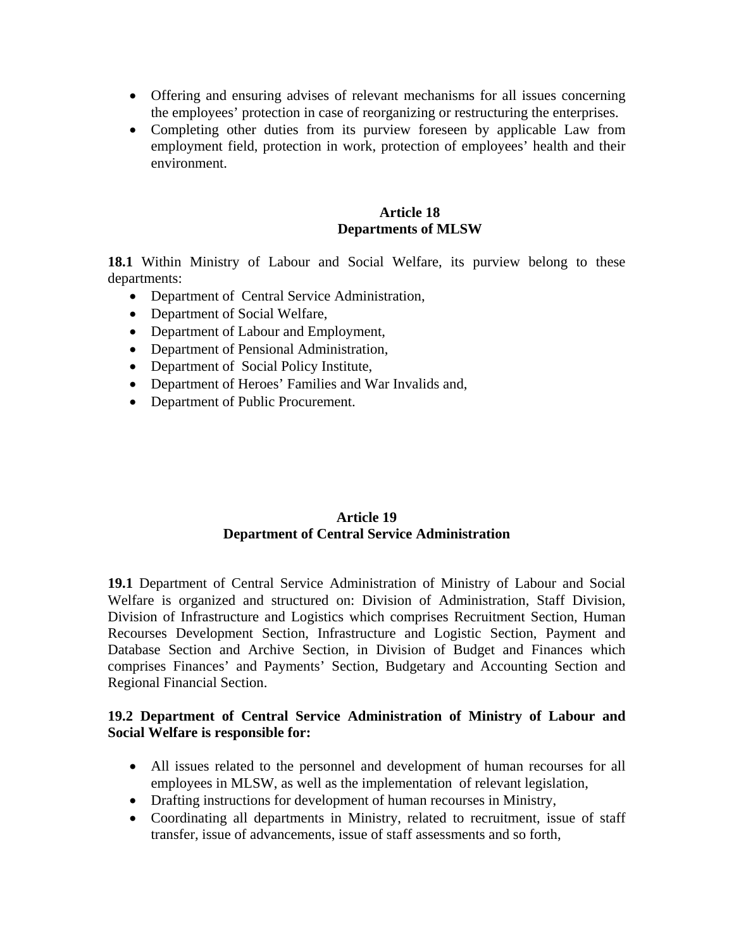- Offering and ensuring advises of relevant mechanisms for all issues concerning the employees' protection in case of reorganizing or restructuring the enterprises.
- Completing other duties from its purview foreseen by applicable Law from employment field, protection in work, protection of employees' health and their environment.

#### **Article 18 Departments of MLSW**

**18.1** Within Ministry of Labour and Social Welfare, its purview belong to these departments:

- Department of Central Service Administration,
- Department of Social Welfare,
- Department of Labour and Employment,
- Department of Pensional Administration,
- Department of Social Policy Institute,
- Department of Heroes' Families and War Invalids and,
- Department of Public Procurement.

#### **Article 19 Department of Central Service Administration**

**19.1** Department of Central Service Administration of Ministry of Labour and Social Welfare is organized and structured on: Division of Administration, Staff Division, Division of Infrastructure and Logistics which comprises Recruitment Section, Human Recourses Development Section, Infrastructure and Logistic Section, Payment and Database Section and Archive Section, in Division of Budget and Finances which comprises Finances' and Payments' Section, Budgetary and Accounting Section and Regional Financial Section.

#### **19.2 Department of Central Service Administration of Ministry of Labour and Social Welfare is responsible for:**

- All issues related to the personnel and development of human recourses for all employees in MLSW, as well as the implementation of relevant legislation,
- Drafting instructions for development of human recourses in Ministry,
- Coordinating all departments in Ministry, related to recruitment, issue of staff transfer, issue of advancements, issue of staff assessments and so forth,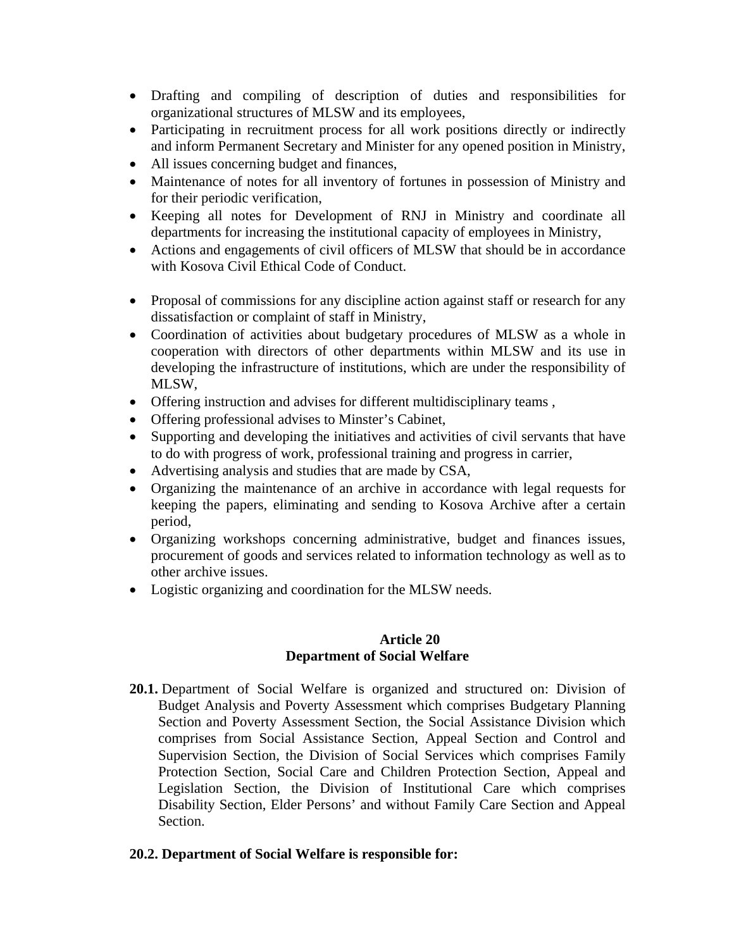- Drafting and compiling of description of duties and responsibilities for organizational structures of MLSW and its employees,
- Participating in recruitment process for all work positions directly or indirectly and inform Permanent Secretary and Minister for any opened position in Ministry,
- All issues concerning budget and finances,
- Maintenance of notes for all inventory of fortunes in possession of Ministry and for their periodic verification,
- Keeping all notes for Development of RNJ in Ministry and coordinate all departments for increasing the institutional capacity of employees in Ministry,
- Actions and engagements of civil officers of MLSW that should be in accordance with Kosova Civil Ethical Code of Conduct.
- Proposal of commissions for any discipline action against staff or research for any dissatisfaction or complaint of staff in Ministry,
- Coordination of activities about budgetary procedures of MLSW as a whole in cooperation with directors of other departments within MLSW and its use in developing the infrastructure of institutions, which are under the responsibility of MLSW,
- Offering instruction and advises for different multidisciplinary teams ,
- Offering professional advises to Minster's Cabinet,
- Supporting and developing the initiatives and activities of civil servants that have to do with progress of work, professional training and progress in carrier,
- Advertising analysis and studies that are made by CSA,
- Organizing the maintenance of an archive in accordance with legal requests for keeping the papers, eliminating and sending to Kosova Archive after a certain period,
- Organizing workshops concerning administrative, budget and finances issues, procurement of goods and services related to information technology as well as to other archive issues.
- Logistic organizing and coordination for the MLSW needs.

#### **Article 20 Department of Social Welfare**

**20.1.** Department of Social Welfare is organized and structured on: Division of Budget Analysis and Poverty Assessment which comprises Budgetary Planning Section and Poverty Assessment Section, the Social Assistance Division which comprises from Social Assistance Section, Appeal Section and Control and Supervision Section, the Division of Social Services which comprises Family Protection Section, Social Care and Children Protection Section, Appeal and Legislation Section, the Division of Institutional Care which comprises Disability Section, Elder Persons' and without Family Care Section and Appeal Section.

## **20.2. Department of Social Welfare is responsible for:**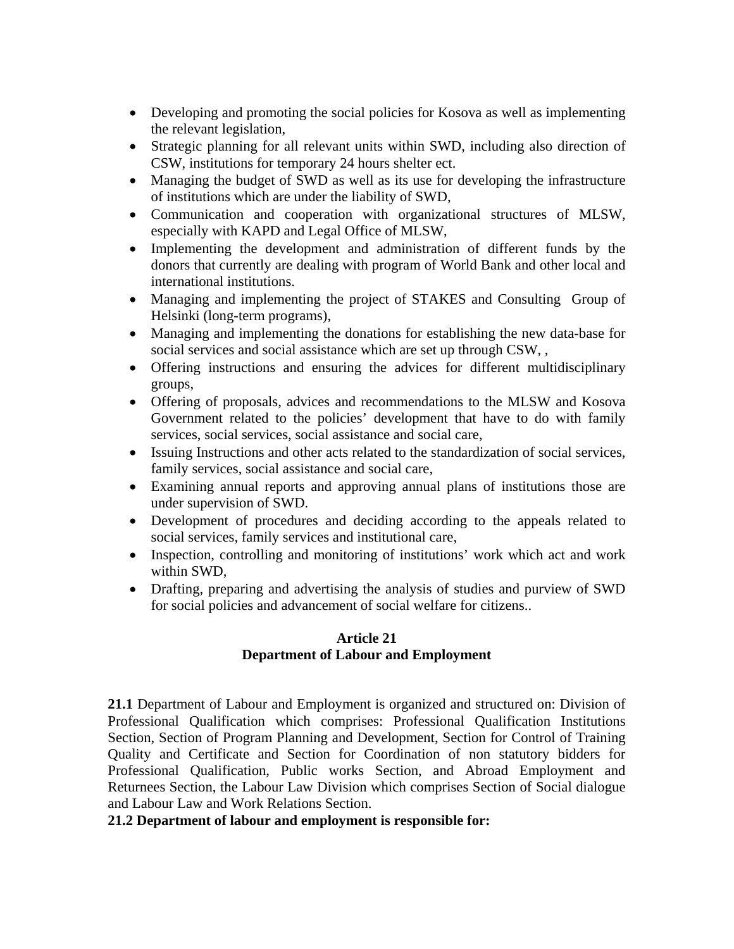- Developing and promoting the social policies for Kosova as well as implementing the relevant legislation,
- Strategic planning for all relevant units within SWD, including also direction of CSW, institutions for temporary 24 hours shelter ect.
- Managing the budget of SWD as well as its use for developing the infrastructure of institutions which are under the liability of SWD,
- Communication and cooperation with organizational structures of MLSW, especially with KAPD and Legal Office of MLSW,
- Implementing the development and administration of different funds by the donors that currently are dealing with program of World Bank and other local and international institutions.
- Managing and implementing the project of STAKES and Consulting Group of Helsinki (long-term programs),
- Managing and implementing the donations for establishing the new data-base for social services and social assistance which are set up through CSW, ,
- Offering instructions and ensuring the advices for different multidisciplinary groups,
- Offering of proposals, advices and recommendations to the MLSW and Kosova Government related to the policies' development that have to do with family services, social services, social assistance and social care,
- Issuing Instructions and other acts related to the standardization of social services, family services, social assistance and social care,
- Examining annual reports and approving annual plans of institutions those are under supervision of SWD.
- Development of procedures and deciding according to the appeals related to social services, family services and institutional care,
- Inspection, controlling and monitoring of institutions' work which act and work within SWD,
- Drafting, preparing and advertising the analysis of studies and purview of SWD for social policies and advancement of social welfare for citizens..

## **Article 21 Department of Labour and Employment**

**21.1** Department of Labour and Employment is organized and structured on: Division of Professional Qualification which comprises: Professional Qualification Institutions Section, Section of Program Planning and Development, Section for Control of Training Quality and Certificate and Section for Coordination of non statutory bidders for Professional Qualification, Public works Section, and Abroad Employment and Returnees Section, the Labour Law Division which comprises Section of Social dialogue and Labour Law and Work Relations Section.

# **21.2 Department of labour and employment is responsible for:**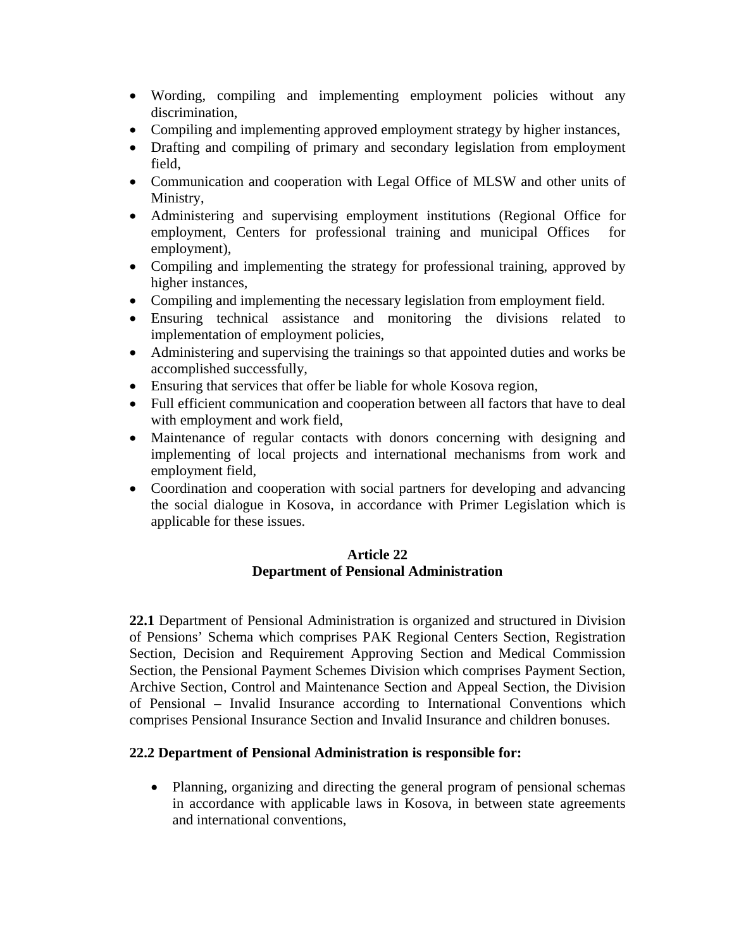- Wording, compiling and implementing employment policies without any discrimination,
- Compiling and implementing approved employment strategy by higher instances,
- Drafting and compiling of primary and secondary legislation from employment field,
- Communication and cooperation with Legal Office of MLSW and other units of Ministry,
- Administering and supervising employment institutions (Regional Office for employment, Centers for professional training and municipal Offices for employment),
- Compiling and implementing the strategy for professional training, approved by higher instances,
- Compiling and implementing the necessary legislation from employment field.
- Ensuring technical assistance and monitoring the divisions related to implementation of employment policies,
- Administering and supervising the trainings so that appointed duties and works be accomplished successfully,
- Ensuring that services that offer be liable for whole Kosova region,
- Full efficient communication and cooperation between all factors that have to deal with employment and work field,
- Maintenance of regular contacts with donors concerning with designing and implementing of local projects and international mechanisms from work and employment field,
- Coordination and cooperation with social partners for developing and advancing the social dialogue in Kosova, in accordance with Primer Legislation which is applicable for these issues.

## **Article 22 Department of Pensional Administration**

**22.1** Department of Pensional Administration is organized and structured in Division of Pensions' Schema which comprises PAK Regional Centers Section, Registration Section, Decision and Requirement Approving Section and Medical Commission Section, the Pensional Payment Schemes Division which comprises Payment Section, Archive Section, Control and Maintenance Section and Appeal Section, the Division of Pensional – Invalid Insurance according to International Conventions which comprises Pensional Insurance Section and Invalid Insurance and children bonuses.

## **22.2 Department of Pensional Administration is responsible for:**

• Planning, organizing and directing the general program of pensional schemas in accordance with applicable laws in Kosova, in between state agreements and international conventions,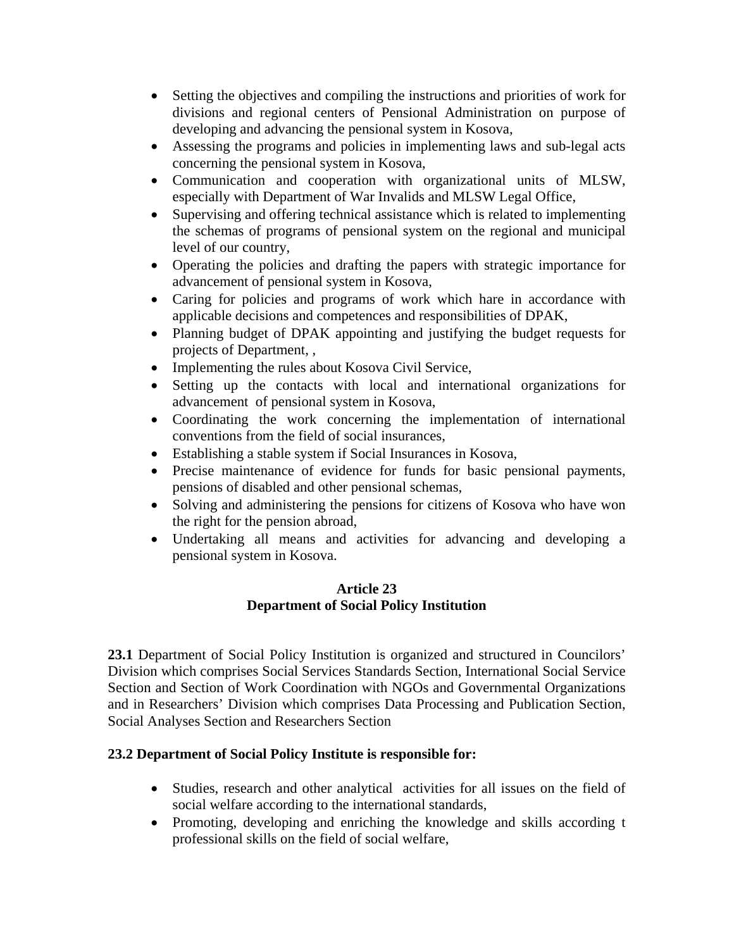- Setting the objectives and compiling the instructions and priorities of work for divisions and regional centers of Pensional Administration on purpose of developing and advancing the pensional system in Kosova,
- Assessing the programs and policies in implementing laws and sub-legal acts concerning the pensional system in Kosova,
- Communication and cooperation with organizational units of MLSW, especially with Department of War Invalids and MLSW Legal Office,
- Supervising and offering technical assistance which is related to implementing the schemas of programs of pensional system on the regional and municipal level of our country,
- Operating the policies and drafting the papers with strategic importance for advancement of pensional system in Kosova,
- Caring for policies and programs of work which hare in accordance with applicable decisions and competences and responsibilities of DPAK,
- Planning budget of DPAK appointing and justifying the budget requests for projects of Department, ,
- Implementing the rules about Kosova Civil Service,
- Setting up the contacts with local and international organizations for advancement of pensional system in Kosova,
- Coordinating the work concerning the implementation of international conventions from the field of social insurances,
- Establishing a stable system if Social Insurances in Kosova,
- Precise maintenance of evidence for funds for basic pensional payments, pensions of disabled and other pensional schemas,
- Solving and administering the pensions for citizens of Kosova who have won the right for the pension abroad,
- Undertaking all means and activities for advancing and developing a pensional system in Kosova.

## **Article 23 Department of Social Policy Institution**

**23.1** Department of Social Policy Institution is organized and structured in Councilors' Division which comprises Social Services Standards Section, International Social Service Section and Section of Work Coordination with NGOs and Governmental Organizations and in Researchers' Division which comprises Data Processing and Publication Section, Social Analyses Section and Researchers Section

## **23.2 Department of Social Policy Institute is responsible for:**

- Studies, research and other analytical activities for all issues on the field of social welfare according to the international standards,
- Promoting, developing and enriching the knowledge and skills according t professional skills on the field of social welfare,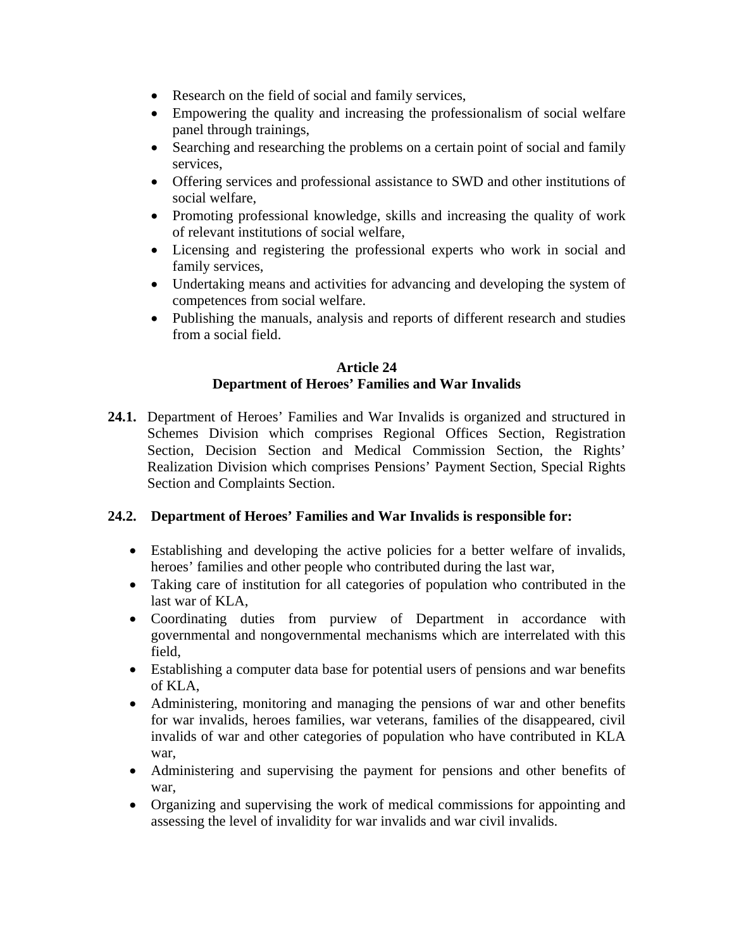- Research on the field of social and family services,
- Empowering the quality and increasing the professionalism of social welfare panel through trainings,
- Searching and researching the problems on a certain point of social and family services,
- Offering services and professional assistance to SWD and other institutions of social welfare,
- Promoting professional knowledge, skills and increasing the quality of work of relevant institutions of social welfare,
- Licensing and registering the professional experts who work in social and family services,
- Undertaking means and activities for advancing and developing the system of competences from social welfare.
- Publishing the manuals, analysis and reports of different research and studies from a social field.

# **Article 24 Department of Heroes' Families and War Invalids**

**24.1.** Department of Heroes' Families and War Invalids is organized and structured in Schemes Division which comprises Regional Offices Section, Registration Section, Decision Section and Medical Commission Section, the Rights' Realization Division which comprises Pensions' Payment Section, Special Rights Section and Complaints Section.

## **24.2. Department of Heroes' Families and War Invalids is responsible for:**

- Establishing and developing the active policies for a better welfare of invalids, heroes' families and other people who contributed during the last war,
- Taking care of institution for all categories of population who contributed in the last war of KLA,
- Coordinating duties from purview of Department in accordance with governmental and nongovernmental mechanisms which are interrelated with this field,
- Establishing a computer data base for potential users of pensions and war benefits of KLA,
- Administering, monitoring and managing the pensions of war and other benefits for war invalids, heroes families, war veterans, families of the disappeared, civil invalids of war and other categories of population who have contributed in KLA war,
- Administering and supervising the payment for pensions and other benefits of war,
- Organizing and supervising the work of medical commissions for appointing and assessing the level of invalidity for war invalids and war civil invalids.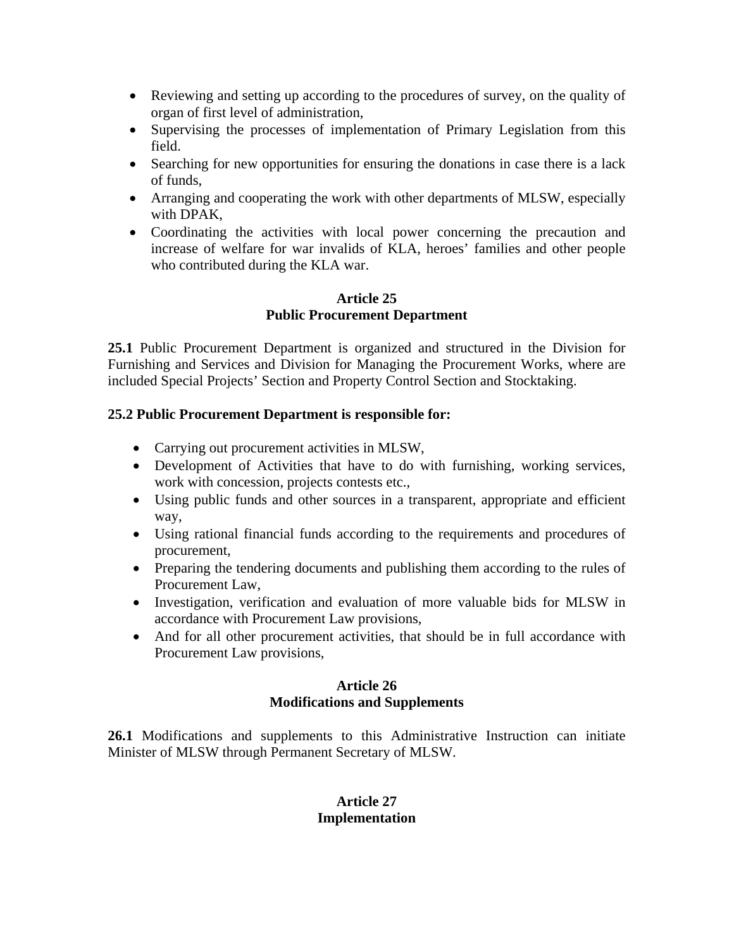- Reviewing and setting up according to the procedures of survey, on the quality of organ of first level of administration,
- Supervising the processes of implementation of Primary Legislation from this field.
- Searching for new opportunities for ensuring the donations in case there is a lack of funds,
- Arranging and cooperating the work with other departments of MLSW, especially with DPAK,
- Coordinating the activities with local power concerning the precaution and increase of welfare for war invalids of KLA, heroes' families and other people who contributed during the KLA war.

#### **Article 25 Public Procurement Department**

**25.1** Public Procurement Department is organized and structured in the Division for Furnishing and Services and Division for Managing the Procurement Works, where are included Special Projects' Section and Property Control Section and Stocktaking.

## **25.2 Public Procurement Department is responsible for:**

- Carrying out procurement activities in MLSW,
- Development of Activities that have to do with furnishing, working services, work with concession, projects contests etc.,
- Using public funds and other sources in a transparent, appropriate and efficient way,
- Using rational financial funds according to the requirements and procedures of procurement,
- Preparing the tendering documents and publishing them according to the rules of Procurement Law,
- Investigation, verification and evaluation of more valuable bids for MLSW in accordance with Procurement Law provisions,
- And for all other procurement activities, that should be in full accordance with Procurement Law provisions,

## **Article 26 Modifications and Supplements**

**26.1** Modifications and supplements to this Administrative Instruction can initiate Minister of MLSW through Permanent Secretary of MLSW.

## **Article 27 Implementation**